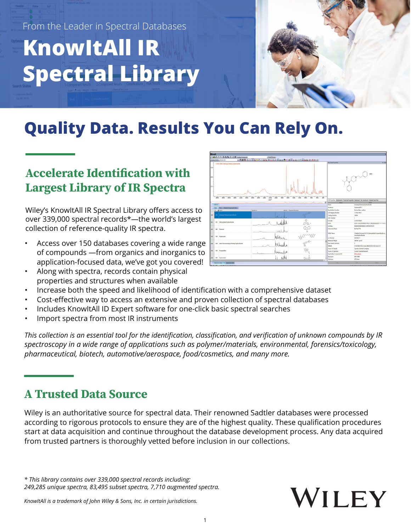

# **Quality Data. Results You Can Rely On.**

### **Accelerate Identification with Largest Library of IR Spectra**

Wiley's KnowItAll IR Spectral Library offers access to over 339,000 spectral records\*—the world's largest collection of reference-quality IR spectra.

- Access over 150 databases covering a wide range of compounds —from organics and inorganics to application-focused data, we've got you covered!
- Along with spectra, records contain physical properties and structures when available



- Increase both the speed and likelihood of identification with a comprehensive dataset
- Cost-effective way to access an extensive and proven collection of spectral databases
- Includes KnowItAll ID Expert software for one-click basic spectral searches
- Import spectra from most IR instruments

*This collection is an essential tool for the identification, classification, and verification of unknown compounds by IR spectroscopy in a wide range of applications such as polymer/materials, environmental, forensics/toxicology, pharmaceutical, biotech, automotive/aerospace, food/cosmetics, and many more.* 

### **A Trusted Data Source**

Wiley is an authoritative source for spectral data. Their renowned Sadtler databases were processed according to rigorous protocols to ensure they are of the highest quality. These qualification procedures start at data acquisition and continue throughout the database development process. Any data acquired from trusted partners is thoroughly vetted before inclusion in our collections.

*\* This library contains over 339,000 spectral records including: 249,285 unique spectra, 83,495 subset spectra, 7,710 augmented spectra.*



*KnowItAll is a trademark of John Wiley & Sons, Inc. in certain jurisdictions.*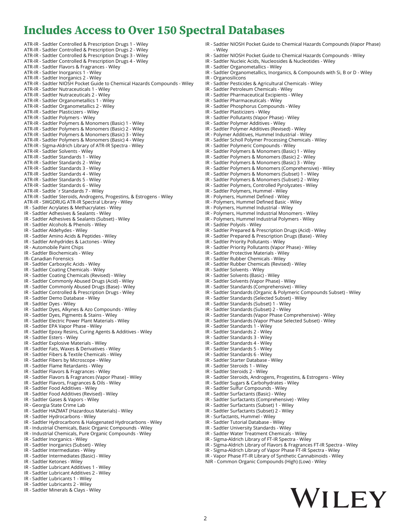#### **Includes Access to Over 150 Spectral Databases**

ATR-IR - Sadtler Controlled & Prescription Drugs 1 - Wiley ATR-IR - Sadtler Controlled & Prescription Drugs 2 - Wiley ATR-IR - Sadtler Controlled & Prescription Drugs 3 - Wiley ATR-IR - Sadtler Controlled & Prescription Drugs 4 - Wiley ATR-IR - Sadtler Flavors & Fragrances - Wiley ATR-IR - Sadtler Inorganics 1 - Wiley ATR-IR - Sadtler Inorganics 2 - Wiley ATR-IR - Sadtler NIOSH Pocket Guide to Chemical Hazards Compounds - Wiley ATR-IR - Sadtler Nutraceuticals 1 - Wiley ATR-IR - Sadtler Nutraceuticals 2 - Wiley ATR-IR - Sadtler Organometallics 1 - Wiley ATR-IR - Sadtler Organometallics 2 - Wiley ATR-IR - Sadtler Plasticizers - Wiley ATR-IR - Sadtler Polymers - Wiley ATR-IR - Sadtler Polymers & Monomers (Basic) 1 - Wiley ATR-IR - Sadtler Polymers & Monomers (Basic) 2 - Wiley ATR-IR - Sadtler Polymers & Monomers (Basic) 3 - Wiley ATR-IR - Sadtler Polymers & Monomers (Basic) 4 - Wiley ATR-IR - Sigma-Aldrich Library of ATR-IR Spectra - Wiley ATR-IR - Sadtler Solvents - Wiley ATR-IR - Sadtler Standards 1 - Wiley ATR-IR - Sadtler Standards 2 - Wiley ATR-IR - Sadtler Standards 3 - Wiley ATR-IR - Sadtler Standards 4 - Wiley ATR-IR - Sadtler Standards 5 - Wiley ATR-IR - Sadtler Standards 6 - Wiley ATR-IR - Sadtle`r Standards 7 - Wiley ATR-IR - Sadtler Steroids, Androgens, Progestins, & Estrogens - Wiley ATR-IR - SWGDRUG ATR-IR Spectral Library - Wiley IR - Sadtler Acrylates & Methacrylates - Wiley IR - Sadtler Adhesives & Sealants - Wiley IR - Sadtler Adhesives & Sealants (Subset) - Wiley IR - Sadtler Alcohols & Phenols - Wiley IR - Sadtler Aldehydes - Wiley IR - Sadtler Amino Acids & Peptides - Wiley IR - Sadtler Anhydrides & Lactones - Wiley IR - Automobile Paint Chips IR - Sadtler Biochemicals - Wiley IR- Canadian Forensics IR - Sadtler Carboxylic Acids - Wiley IR - Sadtler Coating Chemicals - Wiley IR - Sadtler Coating Chemicals (Revised) - Wiley IR - Sadtler Commonly Abused Drugs (Acid) - Wiley IR - Sadtler Commonly Abused Drugs (Base) - Wiley IR - Sadtler Controlled & Prescription Drugs - Wiley IR - Sadtler Demo Database - Wiley IR - Sadtler Dyes - Wiley IR - Sadtler Dyes, Alkynes & Azo Compounds - Wiley IR - Sadtler Dyes, Pigments & Stains - Wiley IR - Sadtler Electric Power Plant Materials - Wiley IR - Sadtler EPA Vapor Phase - Wiley IR - Sadtler Epoxy Resins, Curing Agents & Additives - Wiley IR - Sadtler Esters - Wiley IR - Sadtler Explosive Materials - Wiley IR - Sadtler Fats, Waxes & Derivatives - Wiley IR - Sadtler Fibers & Textile Chemicals - Wiley IR - Sadtler Fibers by Microscope - Wiley IR - Sadtler Flame Retardants - Wiley IR - Sadtler Flavors & Fragrances - Wiley IR - Sadtler Flavors & Fragrances (Vapor Phase) - Wiley IR - Sadtler Flavors, Fragrances & Oils - Wiley IR - Sadtler Food Additives - Wiley IR - Sadtler Food Additives (Revised) - Wiley IR - Sadtler Gases & Vapors - Wiley IR - Georgia State Crime Lab IR - Sadtler HAZMAT (Hazardous Materials) - Wiley IR - Sadtler Hydrocarbons - Wiley IR - Sadtler Hydrocarbons & Halogenated Hydrocarbons - Wiley IR - Industrial Chemicals, Basic Organic Compounds - Wiley IR - Industrial Chemicals, Pure Organic Compounds - Wiley IR - Sadtler Inorganics - Wiley IR - Sadtler Inorganics (Subset) - Wiley IR - Sadtler Intermediates - Wiley IR - Sadtler Intermediates (Basic) - Wiley IR - Sadtler Ketones - Wiley IR - Sadtler Lubricant Additives 1 - Wiley IR - Sadtler Lubricant Additives 2 - Wiley

- IR Sadtler Lubricants 1 Wiley
- IR Sadtler Lubricants 2 Wiley
- IR Sadtler Minerals & Clays Wiley
- IR Sadtler NIOSH Pocket Guide to Chemical Hazards Compounds (Vapor Phase) - Wiley
- IR Sadtler NIOSH Pocket Guide to Chemical Hazards Compounds Wiley
- IR Sadtler Nucleic Acids, Nucleosides & Nucleotides Wiley
- IR Sadtler Organometallics Wiley
- IR Sadtler Organometallics, Inorganics, & Compounds with Si, B or D Wiley
- IR Organosilicons
- IR Sadtler Pesticides & Agricultural Chemicals Wiley
- IR Sadtler Petroleum Chemicals Wiley
- IR Sadtler Pharmaceutical Excipients Wiley
- IR Sadtler Pharmaceuticals Wiley
- IR Sadtler Phosphorus Compounds Wiley
- IR Sadtler Plasticizers Wiley
- IR Sadtler Pollutants (Vapor Phase) Wiley
- IR Sadtler Polymer Additives Wiley
- IR Sadtler Polymer Additives (Revised) Wiley
- IR Polymer Additives, Hummel Industrial Wiley IR - Sadtler Scholl Polymer Processing Chemicals - Wiley
- 
- IR Sadtler Polymeric Compounds Wiley
- IR Sadtler Polymers & Monomers (Basic) 1 Wiley
- IR Sadtler Polymers & Monomers (Basic) 2 Wiley IR - Sadtler Polymers & Monomers (Basic) 3 - Wiley
- IR Sadtler Polymers & Monomers (Comprehensive) Wiley
- IR Sadtler Polymers & Monomers (Subset) 1 Wiley
- IR Sadtler Polymers & Monomers (Subset) 2 Wiley
- IR Sadtler Polymers, Controlled Pyrolyzates Wiley
- IR Sadtler Polymers, Hummel Wiley
- IR Polymers, Hummel Defined Wiley
- IR Polymers, Hummel Defined Basic Wiley
- IR Polymers, Hummel Industrial Wiley
- IR Polymers, Hummel Industrial Monomers Wiley
- IR Polymers, Hummel Industrial Polymers Wiley
- IR Sadtler Polyols Wiley
- IR Sadtler Prepared & Prescription Drugs (Acid) Wiley
- IR Sadtler Prepared & Prescription Drugs (Base) Wiley
- IR Sadtler Priority Pollutants Wiley
- IR Sadtler Priority Pollutants (Vapor Phase) Wiley
- IR Sadtler Protective Materials Wiley
- IR Sadtler Rubber Chemicals Wiley
- IR Sadtler Rubber Chemicals (Revised) Wiley
- IR Sadtler Solvents Wiley
- IR Sadtler Solvents (Basic) Wiley
- IR Sadtler Solvents (Vapor Phase) Wiley
- IR Sadtler Standards (Comprehensive) Wiley
- IR Sadtler Standards (Organic & Polymeric Compounds Subset) Wiley
- IR Sadtler Standards (Selected Subset) Wiley
- IR Sadtler Standards (Subset) 1 Wiley
- IR Sadtler Standards (Subset) 2 Wiley
- IR Sadtler Standards (Vapor Phase Comprehensive) Wiley
- IR Sadtler Standards (Vapor Phase Selected Subset) Wiley
- IR Sadtler Standards 1 Wiley
- IR Sadtler Standards 2 Wiley
- IR Sadtler Standards 3 Wiley
- IR Sadtler Standards 4 Wiley
- IR Sadtler Standards 5 Wiley
- IR Sadtler Standards 6 Wiley
- IR Sadtler Starter Database Wiley
- IR Sadtler Steroids 1 Wiley
- IR Sadtler Steroids 2 Wiley
- IR Sadtler Steroids, Androgens, Progestins, & Estrogens Wiley
- IR Sadtler Sugars & Carbohydrates Wiley
- IR Sadtler Sulfur Compounds Wiley
- IR Sadtler Surfactants (Basic) Wiley
- IR Sadtler Surfactants (Comprehensive) Wiley
- IR Sadtler Surfactants (Subset) 1 Wiley
- IR Sadtler Surfactants (Subset) 2 Wiley
- IR Surfactants, Hummel Wiley
- IR Sadtler Tutorial Database Wiley
- IR Sadtler University Standards Wiley
- IR Sadtler Water Treatment Chemicals Wiley
- IR Sigma-Aldrich Library of FT-IR Spectra Wiley
- IR Sigma-Aldrich Library of Flavors & Fragrances FT-IR Spectra Wiley
- 
- IR Sigma-Aldrich Library of Vapor Phase FT-IR Spectra Wiley
- IR Vapor Phase FT-IR Library of Synthetic Cannabinoids Wiley
- NIR Common Organic Compounds (High) (Low) Wiley